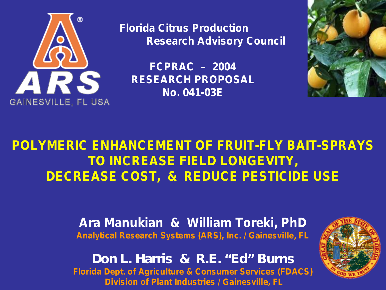

**Florida Citrus Production Research Advisory Council**

**FCPRAC – 2004 RESEARCH PROPOSAL No. 041-03E**



# **POLYMERIC ENHANCEMENT OF FRUIT-FLY BAIT-SPRAYS TO INCREASE FIELD LONGEVITY, DECREASE COST, & REDUCE PESTICIDE USE**

**Ara Manukian & William Toreki, PhD Analytical Research Systems (ARS), Inc. / Gainesville, FL**

**D o n L . H arris & R .E . "E d " B u rn s Florida Dept. of Agriculture & Consumer Services (FDACS) Division of Plant Industries / Gainesville, FL**

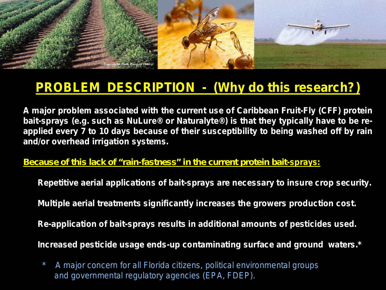

# **PROBLEM DESCRIPTION - (Why do this research?)**

**A major problem associated with the current use of Caribbean Fruit-Fly (CFF) protein bait-sprays (e.g. such as NuLure® or Naturalyte®) is that they typically have to be reapplied every 7 to 10 days because of their susceptibility to being washed off by rain and/or overhead irrigation systems.**

#### **B ecau se o f th is lack o f "rain -fastn ess" in th e cu rren t p ro tein b ait-sprays:**

**Repetitive aerial applications of bait-sprays are necessary to insure crop security.**

**Multiple aerial treatments significantly increases the growers production cost.**

**Re-application of bait-sprays results in additional amounts of pesticides used.**

**Increased pesticide usage ends-up contaminating surface and ground waters.\*** 

*\* A major concern for all Florida citizens, political environmental groups and governmental regulatory agencies (EPA, FDEP).*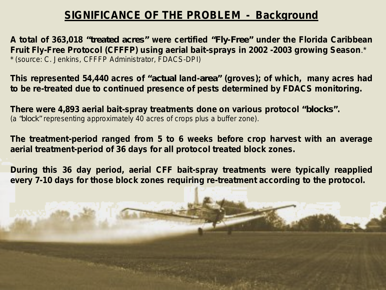### **SIGNIFICANCE OF THE PROBLEM - Background**

**A total of 363,018 "treated acres" were certified "F ly-F ree" under the Florida Caribbean Fruit Fly-Free Protocol (CFFFP) using aerial bait-sprays in 2002 -2003 growing Season**.\* *\* (source: C. Jenkins, CFFFP Administrator, FDACS-DPI)*

**This represented 54,440 acres of "actu al land-area" (groves); of which, many acres had to be re-treated due to continued presence of pests determined by FDACS monitoring.**

**There were 4,893 aerial bait-spray treatments done on various protocol "b lo cks".** *(a "b lock" representing approximately 40 acres of crops plus a buffer zone).*

**The treatment-period ranged from 5 to 6 weeks before crop harvest with an average aerial treatment-period of 36 days for all protocol treated block zones.**

**During this 36 day period, aerial CFF bait-spray treatments were typically reapplied every 7-10 days for those block zones requiring re-treatment according to the protocol.**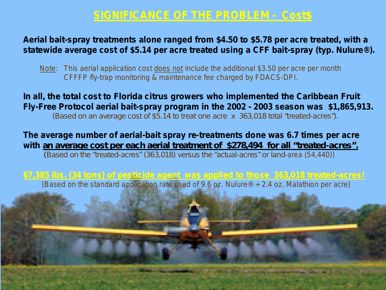### **SIGNIFICANCE OF THE PROBLEM - Cost\$**

#### **Aerial bait-spray treatments alone ranged from \$4.50 to \$5.78 per acre treated, with a statewide average cost of \$5.14 per acre treated using a CFF bait-spray (typ. Nulure®).**

*Note: This aerial application cost does not include the additional \$3.50 per acre per month CFFFP fly-trap monitoring & maintenance fee charged by FDACS-DPI.*

**In all, the total cost to Florida citrus growers who implemented the Caribbean Fruit Fly-Free Protocol aerial bait-spray program in the 2002 - 2003 season was \$1,865,913.** *(Based on an average cost of \$5.14 to treat one acre x 363,018 to tal "treated-acres").* 

**The average number of aerial-bait spray re-treatments done was 6.7 times per acre**  with an average cost per each aerial treatment of \$278,494 for all "treated-acres".

*(Based on the "treated-acres" (363,018) versus the "actual-acres" or land-area (54,440))* 

**67,385 lbs. (34 tons) of pesticide agent was applied to those 363,018 treated-acres!** *(Based on the standard application rate used of 9.6 oz. Nulure® + 2.4 oz. Malathion per acre)*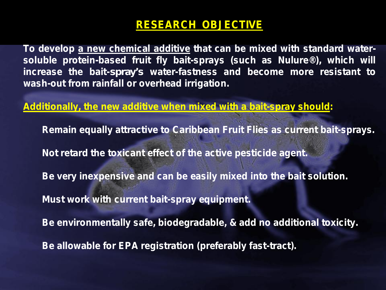## **RESEARCH OBJECTIVE**

**To develop a new chemical additive that can be mixed with standard watersoluble protein-based fruit fly bait-sprays (such as Nulure®), which will increase the bait-sp ray's water-fastness and become more resistant to wash-out from rainfall or overhead irrigation.**

**Additionally, the new additive when mixed with a bait-spray should:**

**Remain equally attractive to Caribbean Fruit Flies as current bait-sprays. Not retard the toxicant effect of the active pesticide agent. Be very inexpensive and can be easily mixed into the bait solution. Must work with current bait-spray equipment. Be environmentally safe, biodegradable, & add no additional toxicity. Be allowable for EPA registration (preferably fast-tract).**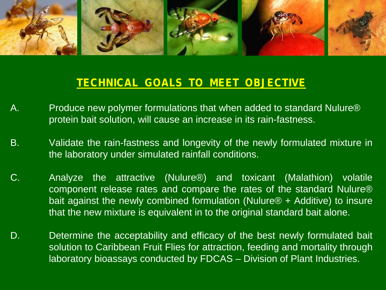

### **TECHNICAL GOALS TO MEET OBJECTIVE**

- A. Produce new polymer formulations that when added to standard Nulure® protein bait solution, will cause an increase in its rain-fastness.
- B. Validate the rain-fastness and longevity of the newly formulated mixture in the laboratory under simulated rainfall conditions.
- C. Analyze the attractive (Nulure®) and toxicant (Malathion) volatile component release rates and compare the rates of the standard Nulure® bait against the newly combined formulation (Nulure® + Additive) to insure that the new mixture is equivalent in to the original standard bait alone.
- D. Determine the acceptability and efficacy of the best newly formulated bait solution to Caribbean Fruit Flies for attraction, feeding and mortality through laboratory bioassays conducted by FDCAS – Division of Plant Industries.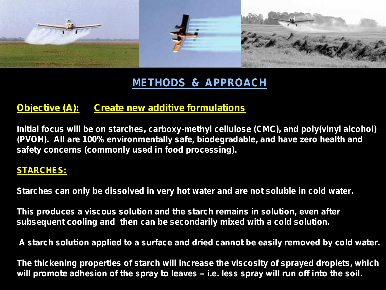

# **METHODS & APPROACH**

### **Objective (A): Create new additive formulations**

**Initial focus will be on starches, carboxy-methyl cellulose (CMC), and poly(vinyl alcohol) (PVOH). All are 100% environmentally safe, biodegradable, and have zero health and safety concerns (commonly used in food processing).**

#### **STARCHES:**

**Starches can only be dissolved in very hot water and are not soluble in cold water.**

**This produces a viscous solution and the starch remains in solution, even after subsequent cooling and then can be secondarily mixed with a cold solution.**

**A starch solution applied to a surface and dried cannot be easily removed by cold water.** 

**The thickening properties of starch will increase the viscosity of sprayed droplets, which will promote adhesion of the spray to leaves – i.e. less spray will run off into the soil.**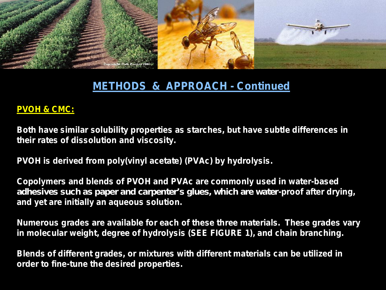

### **METHODS & APPROACH - Continued**

#### **PVOH & CMC:**

**Both have similar solubility properties as starches, but have subtle differences in their rates of dissolution and viscosity.** 

**PVOH is derived from poly(vinyl acetate) (PVAc) by hydrolysis.** 

**Copolymers and blends of PVOH and PVAc are commonly used in water-based**  adhes ives such as paper and carpen ter's glues, wh ich are water-proof after drying, **and yet are initially an aqueous solution.** 

**Numerous grades are available for each of these three materials. These grades vary in molecular weight, degree of hydrolysis (SEE FIGURE 1), and chain branching.**

**Blends of different grades, or mixtures with different materials can be utilized in order to fine-tune the desired properties.**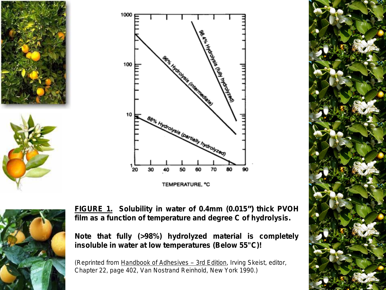





TEMPERATURE, °C



**FIGURE 1. Solubility in water of 0.4mm (0.015") thick PVOH film as a function of temperature and degree C of hydrolysis.**

**Note that fully (>98%) hydrolyzed material is completely insoluble in water at low temperatures (Below 55"C)!**

*(Reprinted from Handbook of Adhesives – 3rd Edition, Irving Skeist, editor, Chapter 22, page 402, Van Nostrand Reinhold, New York 1990.)*

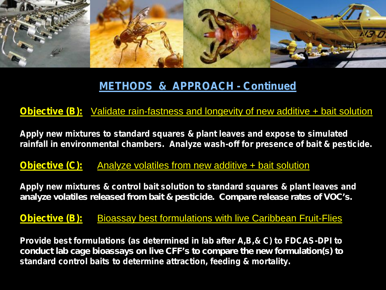

## **METHODS & APPROACH - Continued**

#### **Objective (B):** Validate rain-fastness and longevity of new additive + bait solution

**Apply new mixtures to standard squares & plant leaves and expose to simulated rainfall in environmental chambers. Analyze wash-off for presence of bait & pesticide.**

**Objective (C):** Analyze volatiles from new additive + bait solution

**Apply new mixtures & control bait solution to standard squares & plant leaves and**  an a lyze vo la tiles released from bait & pesticide. Compare release rates of VOC's.

**Objective (B):** Bioassay best formulations with live Caribbean Fruit-Flies

**Provide best formulations (as determined in lab after A,B,& C) to FDCAS-DPI to**  conduct lab cage b io assays on live CFF's to compare the new form u lation (s) to **standard control baits to determine attraction, feeding & mortality.**